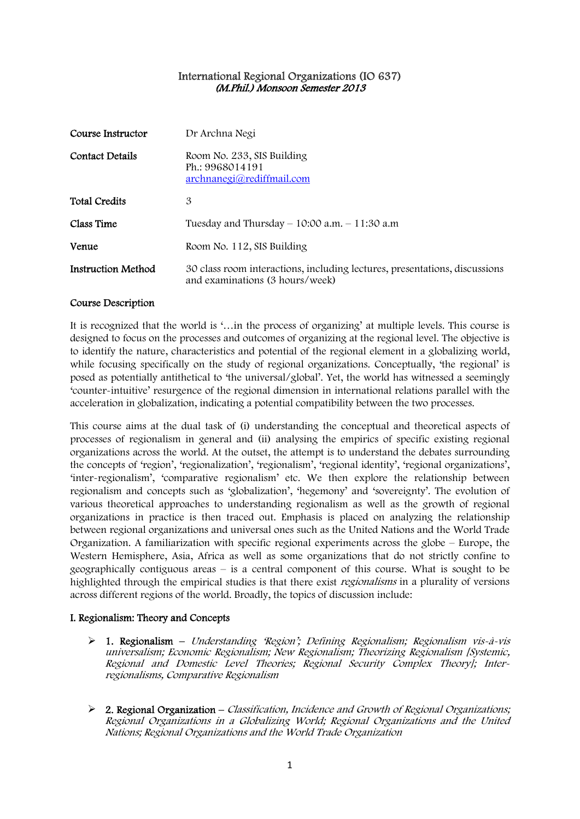## International Regional Organizations (IO 637) (M.Phil.) Monsoon Semester 2013

| Course Instructor         | Dr Archna Negi                                                                                                |
|---------------------------|---------------------------------------------------------------------------------------------------------------|
| Contact Details           | Room No. 233, SIS Building<br>Ph.: 9968014191<br>$\archnanegi(\partial_{r}rediffmail.com)$                    |
| <b>Total Credits</b>      | 3                                                                                                             |
| Class Time                | Tuesday and Thursday $- 10:00$ a.m. $- 11:30$ a.m                                                             |
| Venue                     | Room No. 112, SIS Building                                                                                    |
| <b>Instruction Method</b> | 30 class room interactions, including lectures, presentations, discussions<br>and examinations (3 hours/week) |

## Course Description

It is recognized that the world is '…in the process of organizing' at multiple levels. This course is designed to focus on the processes and outcomes of organizing at the regional level. The objective is to identify the nature, characteristics and potential of the regional element in a globalizing world, while focusing specifically on the study of regional organizations. Conceptually, 'the regional' is posed as potentially antithetical to 'the universal/global'. Yet, the world has witnessed a seemingly 'counter-intuitive' resurgence of the regional dimension in international relations parallel with the acceleration in globalization, indicating a potential compatibility between the two processes.

This course aims at the dual task of (i) understanding the conceptual and theoretical aspects of processes of regionalism in general and (ii) analysing the empirics of specific existing regional organizations across the world. At the outset, the attempt is to understand the debates surrounding the concepts of 'region', 'regionalization', 'regionalism', 'regional identity', 'regional organizations', 'inter-regionalism', 'comparative regionalism' etc. We then explore the relationship between regionalism and concepts such as 'globalization', 'hegemony' and 'sovereignty'. The evolution of various theoretical approaches to understanding regionalism as well as the growth of regional organizations in practice is then traced out. Emphasis is placed on analyzing the relationship between regional organizations and universal ones such as the United Nations and the World Trade Organization. A familiarization with specific regional experiments across the globe – Europe, the Western Hemisphere, Asia, Africa as well as some organizations that do not strictly confine to geographically contiguous areas – is a central component of this course. What is sought to be highlighted through the empirical studies is that there exist *regionalisms* in a plurality of versions across different regions of the world. Broadly, the topics of discussion include:

## I. Regionalism: Theory and Concepts

- $\triangleright$  1. Regionalism Understanding 'Region'; Defining Regionalism; Regionalism vis-à-vis universalism; Economic Regionalism; New Regionalism; Theorizing Regionalism [Systemic, Regional and Domestic Level Theories; Regional Security Complex Theory]; Interregionalisms, Comparative Regionalism
- $\triangleright$  2. Regional Organization Classification, Incidence and Growth of Regional Organizations; Regional Organizations in a Globalizing World; Regional Organizations and the United Nations; Regional Organizations and the World Trade Organization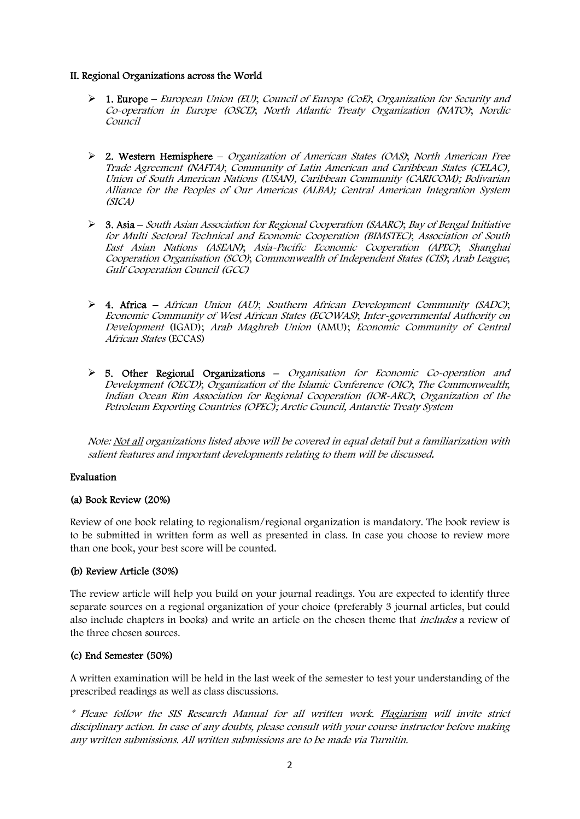## II. Regional Organizations across the World

- ¾ 1. Europe European Union (EU); Council of Europe (CoE); Organization for Security and Co-operation in Europe (OSCE); North Atlantic Treaty Organization (NATO); Nordic Council
- ¾ 2. Western Hemisphere Organization of American States (OAS); North American Free Trade Agreement (NAFTA); Community of Latin American and Caribbean States (CELAC), Union of South American Nations (USAN), Caribbean Community (CARICOM); Bolivarian Alliance for the Peoples of Our Americas (ALBA); Central American Integration System (SICA)
- ¾ 3. Asia South Asian Association for Regional Cooperation (SAARC); Bay of Bengal Initiative for Multi Sectoral Technical and Economic Cooperation (BIMSTEC); Association of South East Asian Nations (ASEAN); Asia-Pacific Economic Cooperation (APEC); Shanghai Cooperation Organisation (SCO); Commonwealth of Independent States (CIS); Arab League; Gulf Cooperation Council (GCC)
- $\geq 4$ . Africa African Union (AU); Southern African Development Community (SADC); Economic Community of West African States (ECOWAS); Inter-governmental Authority on Development (IGAD); Arab Maghreb Union (AMU); Economic Community of Central African States (ECCAS)
- $\triangleright$  5. Other Regional Organizations Organisation for Economic Co-operation and Development (OECD); Organization of the Islamic Conference (OIC); The Commonwealth; Indian Ocean Rim Association for Regional Cooperation (IOR-ARC); Organization of the Petroleum Exporting Countries (OPEC); Arctic Council, Antarctic Treaty System

Note: Not all organizations listed above will be covered in equal detail but a familiarization with salient features and important developments relating to them will be discussed.

## Evaluation

## (a) Book Review (20%)

Review of one book relating to regionalism/regional organization is mandatory. The book review is to be submitted in written form as well as presented in class. In case you choose to review more than one book, your best score will be counted.

## (b) Review Article (30%)

The review article will help you build on your journal readings. You are expected to identify three separate sources on a regional organization of your choice (preferably 3 journal articles, but could also include chapters in books) and write an article on the chosen theme that includes a review of the three chosen sources.

#### (c) End Semester (50%)

A written examination will be held in the last week of the semester to test your understanding of the prescribed readings as well as class discussions.

\* Please follow the SIS Research Manual for all written work. Plagiarism will invite strict disciplinary action. In case of any doubts, please consult with your course instructor before making any written submissions. All written submissions are to be made via Turnitin.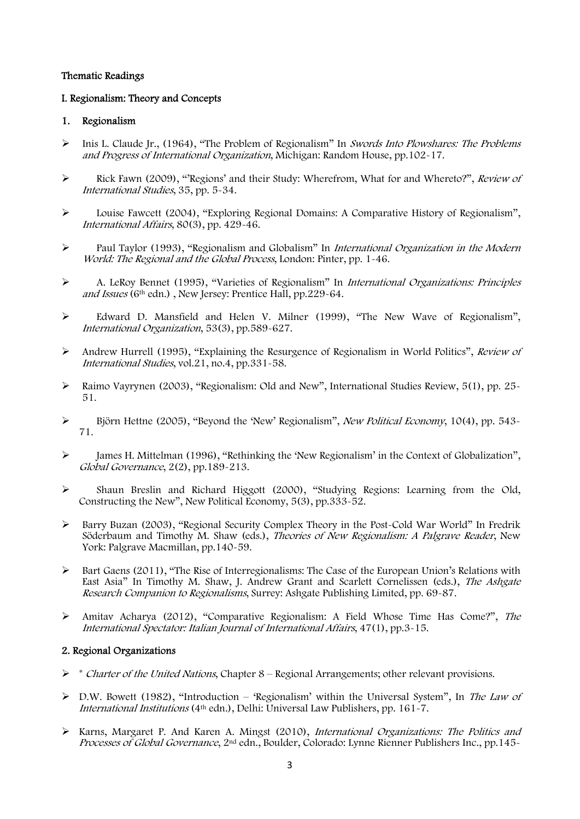## Thematic Readings

## I. Regionalism: Theory and Concepts

## 1. Regionalism

- ¾ Inis L. Claude Jr., (1964), "The Problem of Regionalism" In Swords Into Plowshares: The Problems and Progress of International Organization, Michigan: Random House, pp.102-17.
- ¾ Rick Fawn (2009), "'Regions' and their Study: Wherefrom, What for and Whereto?", Review of International Studies, 35, pp. 5-34.
- ¾ Louise Fawcett (2004), "Exploring Regional Domains: A Comparative History of Regionalism", International Affairs, 80(3), pp. 429-46.
- ¾ Paul Taylor (1993), "Regionalism and Globalism" In International Organization in the Modern World: The Regional and the Global Process, London: Pinter, pp. 1-46.
- ¾ A. LeRoy Bennet (1995), "Varieties of Regionalism" In International Organizations: Principles and Issues (6<sup>th</sup> edn.), New Jersey: Prentice Hall, pp.229-64.
- ¾ Edward D. Mansfield and Helen V. Milner (1999), "The New Wave of Regionalism", International Organization, 53(3), pp.589-627.
- ¾ Andrew Hurrell (1995), "Explaining the Resurgence of Regionalism in World Politics", Review of International Studies, vol.21, no.4, pp.331-58.
- $\blacktriangleright$  Raimo Vayrynen (2003), "Regionalism: Old and New", International Studies Review, 5(1), pp. 25-51.
- $\triangleright$  Björn Hettne (2005), "Beyond the 'New' Regionalism", *New Political Economy*, 10(4), pp. 543-71.
- $\blacktriangleright$  James H. Mittelman (1996), "Rethinking the 'New Regionalism' in the Context of Globalization", Global Governance, 2(2), pp.189-213.
- ¾ Shaun Breslin and Richard Higgott (2000), "Studying Regions: Learning from the Old, Constructing the New", New Political Economy, 5(3), pp.333-52.
- ¾ Barry Buzan (2003), "Regional Security Complex Theory in the Post-Cold War World" In Fredrik Söderbaum and Timothy M. Shaw (eds.), Theories of New Regionalism: A Palgrave Reader, New York: Palgrave Macmillan, pp.140-59.
- $\triangleright$  Bart Gaens (2011), "The Rise of Interregionalisms: The Case of the European Union's Relations with East Asia" In Timothy M. Shaw, J. Andrew Grant and Scarlett Cornelissen (eds.), The Ashgate Research Companion to Regionalisms, Surrey: Ashgate Publishing Limited, pp. 69-87.
- ¾ Amitav Acharya (2012), "Comparative Regionalism: A Field Whose Time Has Come?", The International Spectator: Italian Journal of International Affairs, 47(1), pp.3-15.

## 2. Regional Organizations

- $\triangleright$  \* *Charter of the United Nations*, Chapter 8 Regional Arrangements; other relevant provisions.
- $\triangleright$  D.W. Bowett (1982), "Introduction 'Regionalism' within the Universal System", In The Law of International Institutions ( $4<sup>th</sup>$  edn.), Delhi: Universal Law Publishers, pp. 161 $\frac{1}{7}$ .
- ¾ Karns, Margaret P. And Karen A. Mingst (2010), International Organizations: The Politics and Processes of Global Governance, 2nd edn., Boulder, Colorado: Lynne Rienner Publishers Inc., pp.145-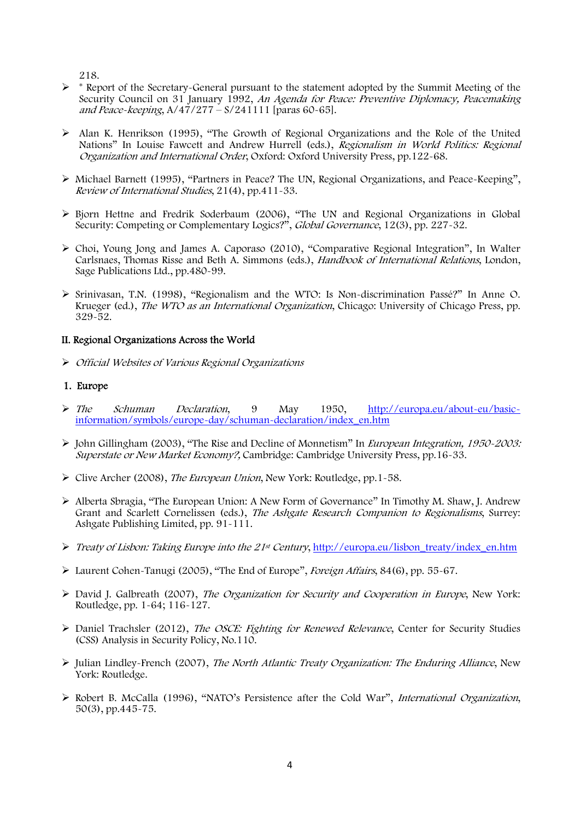218.

- $\triangleright$  \* Report of the Secretary-General pursuant to the statement adopted by the Summit Meeting of the Security Council on 31 January 1992, An Agenda for Peace: Preventive Diplomacy, Peacemaking and Peace-keeping, A/47/277 – S/241111 [paras 60-65].
- $\triangleright$  Alan K. Henrikson (1995), "The Growth of Regional Organizations and the Role of the United Nations" In Louise Fawcett and Andrew Hurrell (eds.), Regionalism in World Politics: Regional Organization and International Order, Oxford: Oxford University Press, pp.122-68.
- ¾ Michael Barnett (1995), "Partners in Peace? The UN, Regional Organizations, and Peace-Keeping", Review of International Studies, 21(4), pp.411-33.
- ¾ Bjorn Hettne and Fredrik Soderbaum (2006), "The UN and Regional Organizations in Global Security: Competing or Complementary Logics?", Global Governance, 12(3), pp. 227-32.
- $\triangleright$  Choi, Young Jong and James A. Caporaso (2010), "Comparative Regional Integration", In Walter Carlsnaes, Thomas Risse and Beth A. Simmons (eds.), Handbook of International Relations, London, Sage Publications Ltd., pp.480-99.
- $\geq$  Srinivasan, T.N. (1998), "Regionalism and the WTO: Is Non-discrimination Passé?" In Anne O. Krueger (ed.), *The WTO as an International Organization*, Chicago: University of Chicago Press, pp. 329-52.

## II. Regional Organizations Across the World

¾ Official Websites of Various Regional Organizations

## 1. Europe

- ¾ The Schuman Declaration, 9 May 1950, [http://europa.eu/about-eu/basic](http://europa.eu/about-eu/basic-information/symbols/europe-day/schuman-declaration/index_en.htm)[information/symbols/europe-day/schuman-declaration/index\\_en.htm](http://europa.eu/about-eu/basic-information/symbols/europe-day/schuman-declaration/index_en.htm)
- $\triangleright$  John Gillingham (2003), "The Rise and Decline of Monnetism" In *European Integration, 1950-2003:* Superstate or New Market Economy?, Cambridge: Cambridge University Press, pp.16-33.
- $\triangleright$  Clive Archer (2008), *The European Union*, New York: Routledge, pp. 1-58.
- ¾ Alberta Sbragia, "The European Union: A New Form of Governance" In Timothy M. Shaw, J. Andrew Grant and Scarlett Cornelissen (eds.), The Ashgate Research Companion to Regionalisms, Surrey: Ashgate Publishing Limited, pp. 91-111.
- ¾ Treaty of Lisbon: Taking Europe into the 21st Century, [http://europa.eu/lisbon\\_treaty/index\\_en.htm](http://europa.eu/lisbon_treaty/index_en.htm)
- ¾ Laurent Cohen-Tanugi (2005), "The End of Europe", Foreign Affairs, 84(6), pp. 55-67.
- ¾ David J. Galbreath (2007), The Organization for Security and Cooperation in Europe, New York: Routledge, pp. 1-64; 116-127.
- $\triangleright$  Daniel Trachsler (2012), The OSCE: Fighting for Renewed Relevance, Center for Security Studies (CSS) Analysis in Security Policy, No.110.
- ¾ Julian Lindley-French (2007), The North Atlantic Treaty Organization: The Enduring Alliance, New York: Routledge.
- ¾ Robert B. McCalla (1996), "NATO's Persistence after the Cold War", International Organization, 50(3), pp.445-75.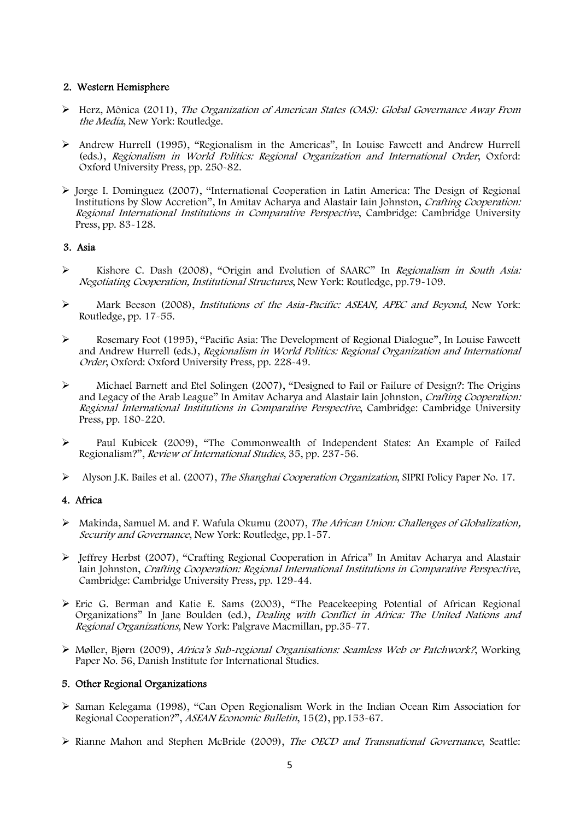## 2. Western Hemisphere

- ¾ Herz, Mônica (2011), The Organization of American States (OAS): Global Governance Away From the Media, New York: Routledge.
- $\triangleright$  Andrew Hurrell (1995), "Regionalism in the Americas", In Louise Fawcett and Andrew Hurrell (eds.), Regionalism in World Politics: Regional Organization and International Order, Oxford: Oxford University Press, pp. 250-82.
- $\triangleright$  Jorge I. Dominguez (2007), "International Cooperation in Latin America: The Design of Regional Institutions by Slow Accretion", In Amitav Acharya and Alastair Iain Johnston, Crafting Cooperation: Regional International Institutions in Comparative Perspective, Cambridge: Cambridge University Press, pp. 83-128.

# 3. Asia

- ¾ Kishore C. Dash (2008), "Origin and Evolution of SAARC" In Regionalism in South Asia: Negotiating Cooperation, Institutional Structures, New York: Routledge, pp.79-109.
- ¾ Mark Beeson (2008), Institutions of the Asia-Pacific: ASEAN, APEC and Beyond, New York: Routledge, pp. 17-55.
- ¾ Rosemary Foot (1995), "Pacific Asia: The Development of Regional Dialogue", In Louise Fawcett and Andrew Hurrell (eds.), Regionalism in World Politics: Regional Organization and International Order, Oxford: Oxford University Press, pp. 228-49.
- ¾ Michael Barnett and Etel Solingen (2007), "Designed to Fail or Failure of Design?: The Origins and Legacy of the Arab League" In Amitav Acharya and Alastair Iain Johnston, Crafting Cooperation: Regional International Institutions in Comparative Perspective, Cambridge: Cambridge University Press, pp. 180-220.
- ¾ Paul Kubicek (2009), "The Commonwealth of Independent States: An Example of Failed Regionalism?", Review of International Studies, 35, pp. 237-56.
- ¾ Alyson J.K. Bailes et al. (2007), The Shanghai Cooperation Organization, SIPRI Policy Paper No. 17.

## 4. Africa

- ¾ Makinda, Samuel M. and F. Wafula Okumu (2007), The African Union: Challenges of Globalization, Security and Governance, New York: Routledge, pp.1-57.
- ¾ Jeffrey Herbst (2007), "Crafting Regional Cooperation in Africa" In Amitav Acharya and Alastair Iain Johnston, Crafting Cooperation: Regional International Institutions in Comparative Perspective, Cambridge: Cambridge University Press, pp. 129-44.
- ¾ Eric G. Berman and Katie E. Sams (2003), "The Peacekeeping Potential of African Regional Organizations" In Jane Boulden (ed.), Dealing with Conflict in Africa: The United Nations and Regional Organizations, New York: Palgrave Macmillan, pp.35-77.
- ¾ Møller, Bjørn (2009), Africa's Sub-regional Organisations: Seamless Web or Patchwork?, Working Paper No. 56, Danish Institute for International Studies.

## 5. Other Regional Organizations

- ¾ Saman Kelegama (1998), "Can Open Regionalism Work in the Indian Ocean Rim Association for Regional Cooperation?", ASEAN Economic Bulletin, 15(2), pp.153-67.
- ¾ Rianne Mahon and Stephen McBride (2009), The OECD and Transnational Governance, Seattle: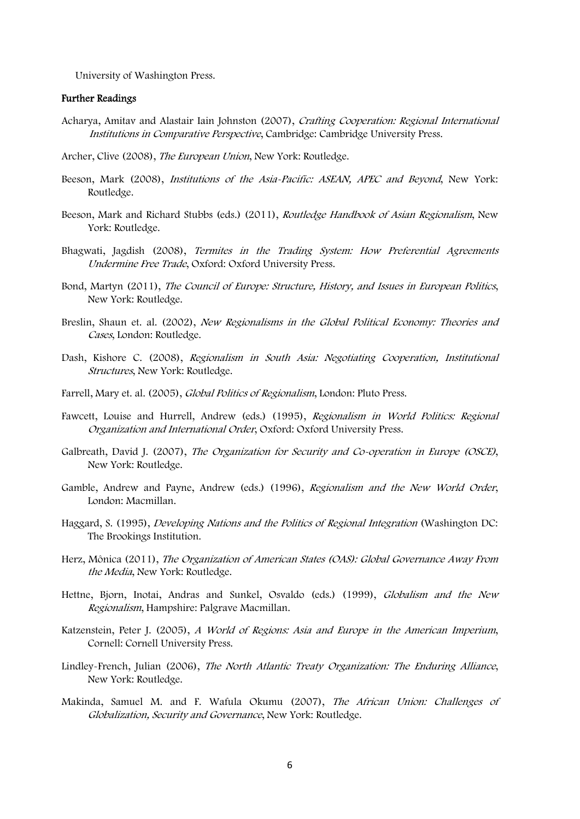University of Washington Press.

#### Further Readings

- Acharya, Amitav and Alastair Iain Johnston (2007), Crafting Cooperation: Regional International Institutions in Comparative Perspective, Cambridge: Cambridge University Press.
- Archer, Clive (2008), The European Union, New York: Routledge.
- Beeson, Mark (2008), Institutions of the Asia-Pacific: ASEAN, APEC and Beyond, New York: Routledge.
- Beeson, Mark and Richard Stubbs (eds.) (2011), *Routledge Handbook of Asian Regionalism*, New York: Routledge.
- Bhagwati, Jagdish (2008), Termites in the Trading System: How Preferential Agreements Undermine Free Trade, Oxford: Oxford University Press.
- Bond, Martyn (2011), The Council of Europe: Structure, History, and Issues in European Politics, New York: Routledge.
- Breslin, Shaun et. al. (2002), New Regionalisms in the Global Political Economy: Theories and Cases, London: Routledge.
- Dash, Kishore C. (2008), Regionalism in South Asia: Negotiating Cooperation, Institutional Structures, New York: Routledge.
- Farrell, Mary et. al. (2005), Global Politics of Regionalism, London: Pluto Press.
- Fawcett, Louise and Hurrell, Andrew (eds.) (1995), Regionalism in World Politics: Regional Organization and International Order, Oxford: Oxford University Press.
- Galbreath, David J. (2007), The Organization for Security and Co-operation in Europe (OSCE), New York: Routledge.
- Gamble, Andrew and Payne, Andrew (eds.) (1996), Regionalism and the New World Order, London: Macmillan.
- Haggard, S. (1995), Developing Nations and the Politics of Regional Integration (Washington DC: The Brookings Institution.
- Herz, Mônica (2011), The Organization of American States (OAS): Global Governance Away From the Media, New York: Routledge.
- Hettne, Bjorn, Inotai, Andras and Sunkel, Osvaldo (eds.) (1999), Globalism and the New Regionalism, Hampshire: Palgrave Macmillan.
- Katzenstein, Peter J. (2005), A World of Regions: Asia and Europe in the American Imperium, Cornell: Cornell University Press.
- Lindley-French, Julian (2006), The North Atlantic Treaty Organization: The Enduring Alliance, New York: Routledge.
- Makinda, Samuel M. and F. Wafula Okumu (2007), The African Union: Challenges of Globalization, Security and Governance, New York: Routledge.